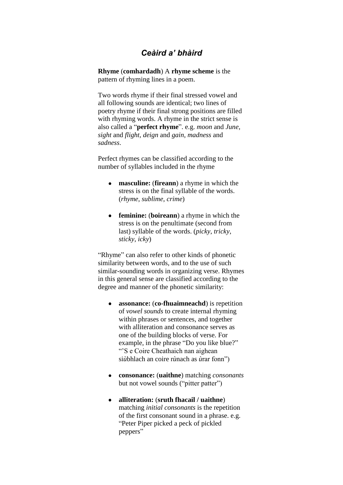# *Ceàird a' bhàird*

**Rhyme** (**comhardadh**) A **[rhyme scheme](http://en.wikipedia.org/wiki/Rhyme_scheme)** is the pattern of rhyming lines in a poem.

Two words rhyme if their final stressed vowel and all following sounds are identical; two lines of poetry rhyme if their final strong positions are filled with rhyming words. A rhyme in the strict sense is also called a "**perfect rhyme**". e.g. *moon* and *June, sight* and *flight*, *deign* and *gain*, *madness* and *sadness*.

Perfect rhymes can be classified according to the number of syllables included in the rhyme

- $\bullet$ **[masculine:](http://en.wikipedia.org/wiki/Masculine_rhyme)** (**fireann**) a rhyme in which the stress is on the final syllable of the words. (*rhyme*, *sublime*, *crime*)
- $\bullet$ **[feminine:](http://en.wikipedia.org/wiki/Feminine_rhyme)** (**boireann**) a rhyme in which the stress is on the penultimate (second from last) syllable of the words. (*picky*, *tricky*, *sticky*, *icky*)

"Rhyme" can also refer to other kinds of phonetic similarity between words, and to the use of such similar-sounding words in organizing verse. Rhymes in this general sense are classified according to the degree and manner of the phonetic similarity:

- **assonance:** (**co-fhuaimneachd**) is repetition  $\bullet$ of *[vowel sounds](http://en.wikipedia.org/wiki/Vowel)* to create internal [rhyming](http://en.wikipedia.org/wiki/Rhymes) within [phrases](http://en.wikipedia.org/wiki/Phrase) or [sentences,](http://en.wikipedia.org/wiki/Sentences) and together with [alliteration](http://en.wikipedia.org/wiki/Alliteration) and [consonance](http://en.wikipedia.org/wiki/Literary_consonance) serves as one of the building blocks of [verse.](http://en.wikipedia.org/wiki/Poetry) For example, in the phrase "Do you like blue?" ""S e Coire Cheathaich nan aighean si*ù*bhlach an coire r*ù*nach as *ù*rar fonn")
- **[consonance:](http://en.wikipedia.org/wiki/Literary_consonance)** (**uaithne**) matching *consonants*  $\bullet$ but not vowel sounds ("pitter patter")
- $\bullet$ **alliteration:** (**sruth fhacail / uaithne**) matching *initial consonants* is the repetition of the first [consonant](http://en.wikipedia.org/wiki/Consonant) sound in a phrase. e.g. ["Peter Piper](http://en.wikipedia.org/wiki/Peter_Piper) picked a peck of pickled peppers"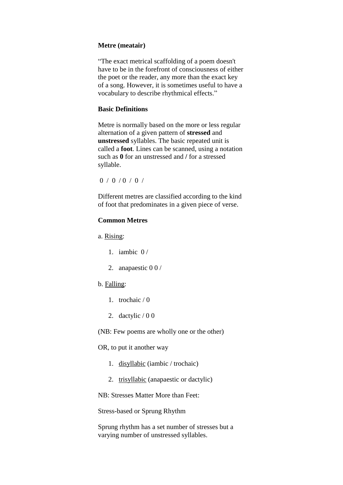#### **Metre (meatair)**

"The exact metrical scaffolding of a poem doesn't have to be in the forefront of consciousness of either the poet or the reader, any more than the exact key of a song. However, it is sometimes useful to have a vocabulary to describe rhythmical effects."

#### **Basic Definitions**

Metre is normally based on the more or less regular alternation of a given pattern of **stressed** and **unstressed** syllables. The basic repeated unit is called a **foot**. Lines can be scanned, using a notation such as **0** for an unstressed and **/** for a stressed syllable.

```
0 / 0 / 0 / 0 /
```
Different metres are classified according to the kind of foot that predominates in a given piece of verse.

#### **Common Metres**

a. Rising:

- 1. iambic  $0/$
- 2. anapaestic 0 0 /

#### b. Falling:

- 1. trochaic / 0
- 2. dactylic  $/ 0 0$

(NB: Few poems are wholly one or the other)

OR, to put it another way

- 1. disyllabic (iambic / trochaic)
- 2. trisyllabic (anapaestic or dactylic)

NB: Stresses Matter More than Feet:

Stress-based or Sprung Rhythm

Sprung rhythm has a set number of stresses but a varying number of unstressed syllables.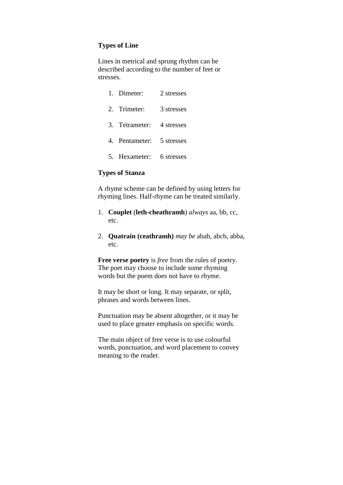### **Types of Line**

Lines in metrical and sprung rhythm can be described according to the number of feet or stresses.

| 1. Dimeter:               | 2 stresses |
|---------------------------|------------|
| 2. Trimeter:              | 3 stresses |
| 3. Tetrameter:            | 4 stresses |
| 4. Pentameter: 5 stresses |            |
| 5. Hexameter: 6 stresses  |            |

#### **Types of Stanza**

A rhyme scheme can be defined by using letters for rhyming lines. Half-rhyme can be treated similarly.

- 1. **Couplet** (**leth-cheathramh**) *always* aa, bb, cc, etc.
- 2. **Quatrain (ceathramh)** *may be* abab, abcb, abba, etc.

**Free verse poetry** is *free* from the rules of poetry. The poet may choose to include some rhyming words but the poem does not have to rhyme.

It may be short or long. It may separate, or split, phrases and words between lines.

Punctuation may be absent altogether, or it may be used to place greater emphasis on specific words.

The main object of free verse is to use colourful words, punctuation, and word placement to convey meaning to the reader.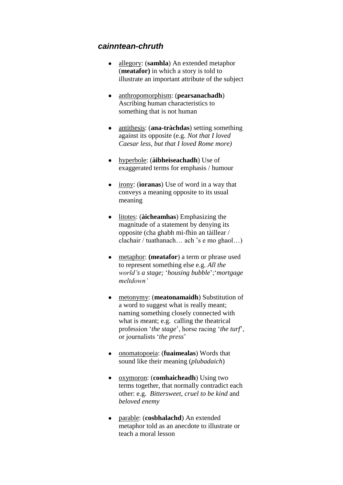## *cainntean-chruth*

- [allegory:](http://en.wikipedia.org/wiki/Allegory) (**samhla**) An extended [metaphor](http://en.wikipedia.org/wiki/Metaphor)  $\bullet$ (**meatafor)** in which a story is told to illustrate an important attribute of the subject
- [anthropomorphism:](http://en.wikipedia.org/wiki/Anthropomorphism) (**pearsanachadh**)  $\bullet$ Ascribing human characteristics to something that is not human
- antithesis: (**ana-tràchdas**) setting something  $\bullet$ against its opposite (e.g. *Not that I loved Caesar less, but that I loved Rome more)*
- [hyperbole:](http://en.wikipedia.org/wiki/Hyperbole) (**àibheiseachadh**) Use of exaggerated terms for emphasis / humour
- [irony:](http://en.wikipedia.org/wiki/Irony) (**ìoranas**) Use of word in a way that conveys a meaning opposite to its usual meaning
- $\bullet$ [litotes:](http://en.wikipedia.org/wiki/Litotes) (**àicheamhas**) Emphasizing the magnitude of a statement by denying its opposite (cha ghabh mi-fhìn an tàillear / clachair / tuathanach… ach "s e mo ghaol…)
- $\bullet$ [metaphor:](http://en.wikipedia.org/wiki/Metaphor) **(meatafor**) a term or phrase used to represent something else e.g. *All the world"s a stage;* "*housing bubble*";"*mortgage meltdown"*
- [metonymy:](http://en.wikipedia.org/wiki/Metonymy) (**meatonamaidh**) Substitution of  $\bullet$ a word to suggest what is really meant; naming something closely connected with what is meant; e.g. calling the theatrical profession "*the stage*", horse racing "*the turf*", or journalists "*the press*"
- [onomatopoeia:](http://en.wikipedia.org/wiki/Onomatopoeia) (**fuaimealas**) Words that  $\bullet$ sound like their meaning (*plubadaich*)
- $\bullet$ [oxymoron:](http://en.wikipedia.org/wiki/Oxymoron) (**comhaicheadh**) Using two terms together, that normally contradict each other: e.g. *Bittersweet*, *cruel to be kind* and *beloved enemy*
- $\bullet$ [parable:](http://en.wikipedia.org/wiki/Parable) (**cosbhalachd**) An extended [metaphor](http://en.wikipedia.org/wiki/Metaphor) told as an anecdote to illustrate or teach a moral lesson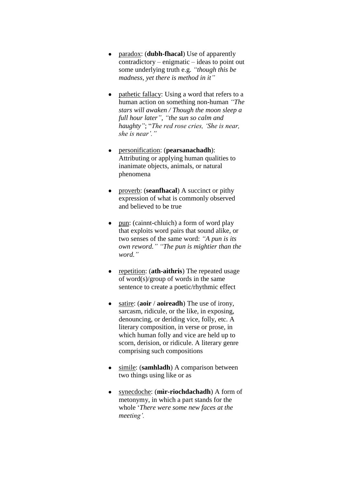- [paradox:](http://en.wikipedia.org/wiki/Paradox) (**dubh-fhacal**) Use of apparently  $\bullet$ contradictory – enigmatic – ideas to point out some underlying truth e.g. *"though this be madness, yet there is method in it"*
- [pathetic fallacy:](http://en.wikipedia.org/wiki/Pathetic_fallacy) Using a word that refers to a  $\bullet$ human action on something non-human *"The stars will awaken / Though the moon sleep a full hour later"*, *"the sun so calm and haughty"*; "*The red rose cries, "She is near,*  she is near'."
- [personification:](http://en.wikipedia.org/wiki/Personification) (**pearsanachadh**): Attributing or applying human qualities to inanimate objects, animals, or natural phenomena
- [proverb:](http://en.wikipedia.org/wiki/Proverb) (**seanfhacal**) A succinct or pithy  $\bullet$ expression of what is commonly observed and believed to be true
- pun: (cainnt-chluich) a form of [word play](http://en.wikipedia.org/wiki/Word_play) that exploits word pairs that sound alike, or two senses of the same word: *"A pun is its own reword." "The pun is mightier than the word."*
- [repetition:](http://en.wikipedia.org/wiki/Repetition) (**ath-aithris**) The repeated usage  $\bullet$ of word(s)/group of words in the same sentence to create a poetic/rhythmic effect
- [satire:](http://en.wikipedia.org/wiki/Satire) (**aoir** / **aoireadh**) The use of irony, sarcasm, ridicule, or the like, in exposing, denouncing, or deriding vice, folly, etc. A literary composition, in verse or prose, in which human folly and vice are held up to scorn, derision, or ridicule. A literary genre comprising such compositions
- [simile:](http://en.wikipedia.org/wiki/Simile) (**samhladh**) A comparison between  $\bullet$ two things using like or as
- [synecdoche:](http://en.wikipedia.org/wiki/Synecdoche) (**mìr-riochdachadh**) A form of  $\bullet$ [metonymy,](http://en.wikipedia.org/wiki/Metonymy) in which a part stands for the whole "*There were some new faces at the meeting".*